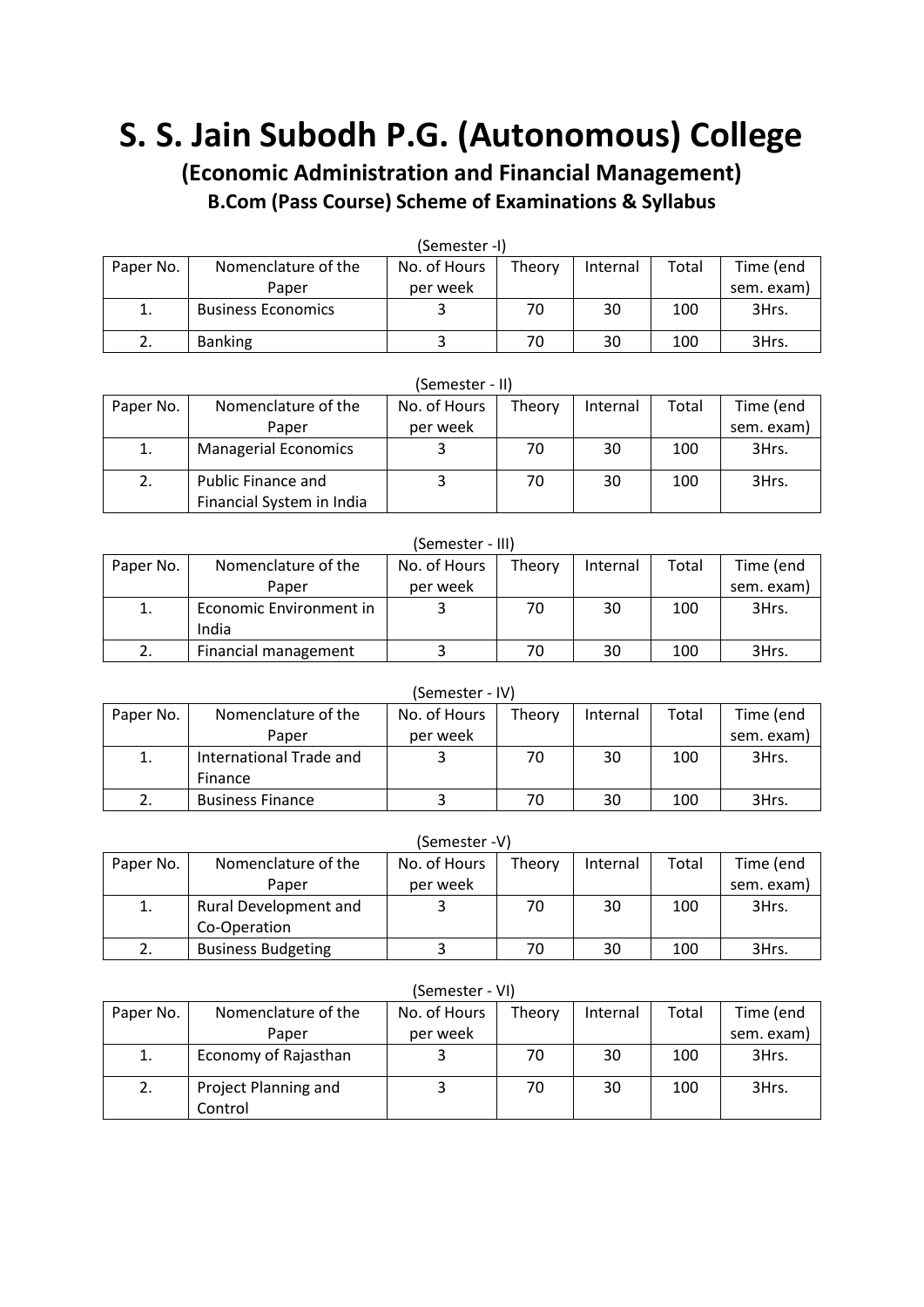# **S. S. Jain Subodh P.G. (Autonomous) College**

## **(Economic Administration and Financial Management) B.Com (Pass Course) Scheme of Examinations & Syllabus**

| (Semester -I) |                           |              |        |          |       |            |
|---------------|---------------------------|--------------|--------|----------|-------|------------|
| Paper No.     | Nomenclature of the       | No. of Hours | Theory | Internal | Total | Time (end  |
|               | Paper                     | per week     |        |          |       | sem. exam) |
| 1.            | <b>Business Economics</b> |              | 70     | 30       | 100   | 3Hrs.      |
|               | <b>Banking</b>            |              |        | 30       | 100   | 3Hrs.      |

| (Semester - II) |                             |              |        |          |       |            |
|-----------------|-----------------------------|--------------|--------|----------|-------|------------|
| Paper No.       | Nomenclature of the         | No. of Hours | Theory | Internal | Total | Time (end  |
|                 | Paper                       | per week     |        |          |       | sem. exam) |
| 1.              | <b>Managerial Economics</b> |              | 70     | 30       | 100   | 3Hrs.      |
| 2.              | Public Finance and          |              | 70     | 30       | 100   | 3Hrs.      |
|                 | Financial System in India   |              |        |          |       |            |

| (Semester - III) |                         |              |        |          |       |            |
|------------------|-------------------------|--------------|--------|----------|-------|------------|
| Paper No.        | Nomenclature of the     | No. of Hours | Theory | Internal | Total | Time (end  |
|                  | Paper                   | per week     |        |          |       | sem. exam) |
| 1.               | Economic Environment in |              | 70     | 30       | 100   | 3Hrs.      |
|                  | India                   |              |        |          |       |            |
|                  | Financial management    |              | 70     | 30       | 100   | 3Hrs.      |

#### (Semester - IV)

| Paper No. | Nomenclature of the     | No. of Hours | Theory | Internal | Total | Time (end  |
|-----------|-------------------------|--------------|--------|----------|-------|------------|
|           | Paper                   | per week     |        |          |       | sem. exam) |
| 1.        | International Trade and |              | 70     | 30       | 100   | 3Hrs.      |
|           | Finance                 |              |        |          |       |            |
|           | <b>Business Finance</b> |              | 70     | 30       | 100   | 3Hrs.      |

| (Semester -V) |                           |              |        |          |       |            |
|---------------|---------------------------|--------------|--------|----------|-------|------------|
| Paper No.     | Nomenclature of the       | No. of Hours | Theory | Internal | Total | Time (end  |
|               | Paper                     | per week     |        |          |       | sem. exam) |
| 1.            | Rural Development and     |              | 70     | 30       | 100   | 3Hrs.      |
|               | Co-Operation              |              |        |          |       |            |
| 2.            | <b>Business Budgeting</b> |              | 70     | 30       | 100   | 3Hrs.      |

#### (Semester - VI)

| Paper No. | Nomenclature of the  | No. of Hours | Theory | Internal | Total | Time (end  |
|-----------|----------------------|--------------|--------|----------|-------|------------|
|           | Paper                | per week     |        |          |       | sem. exam) |
| 1.        | Economy of Rajasthan |              | 70     | 30       | 100   | 3Hrs.      |
| 2.        | Project Planning and |              | 70     | 30       | 100   | 3Hrs.      |
|           | Control              |              |        |          |       |            |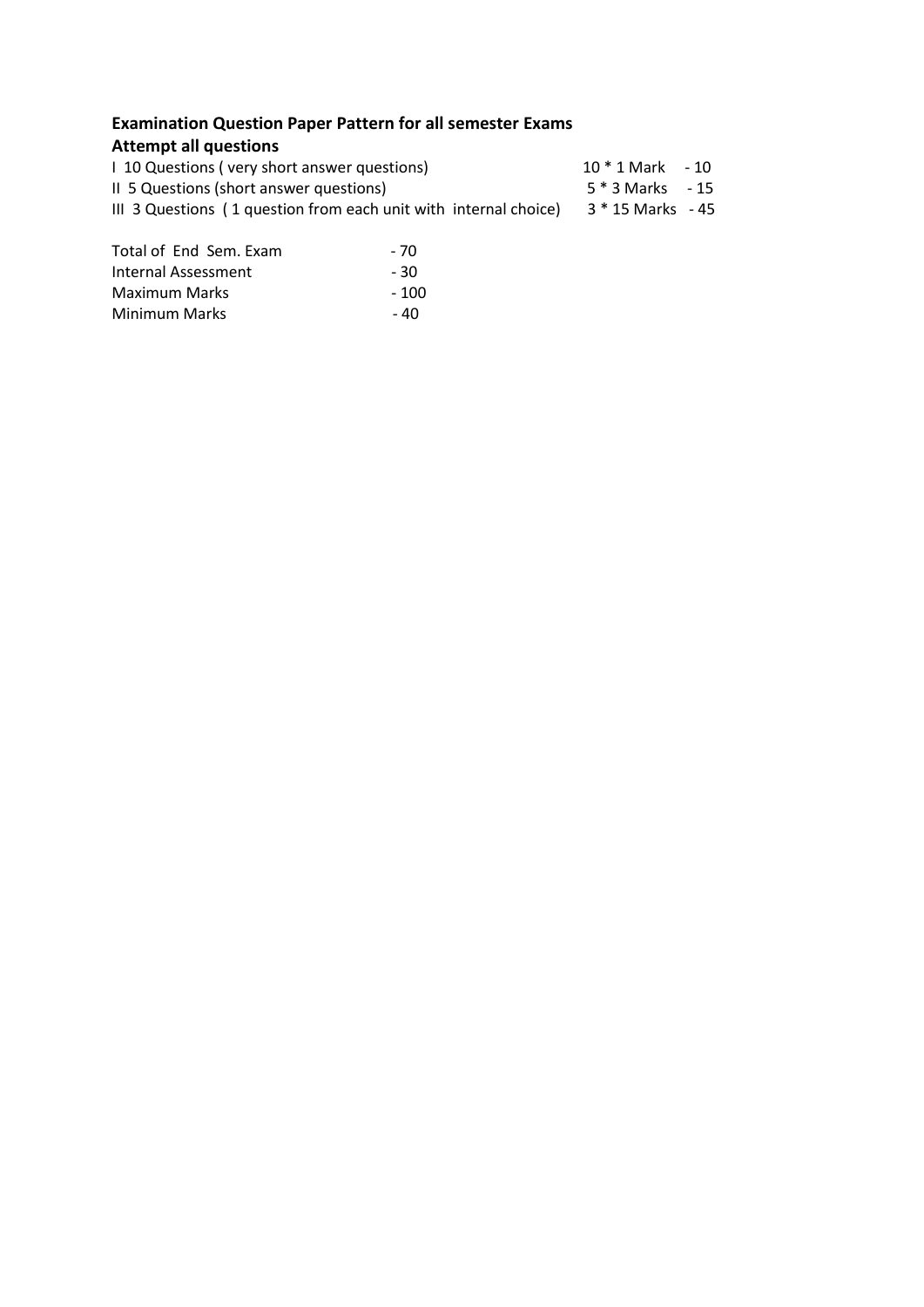## **Examination Question Paper Pattern for all semester Exams**

## **Attempt all questions**

| 1 10 Questions (very short answer questions)                     | $10 * 1$ Mark $-10$ |  |
|------------------------------------------------------------------|---------------------|--|
| II 5 Questions (short answer questions)                          | $5 * 3$ Marks $-15$ |  |
| III 3 Questions (1 question from each unit with internal choice) | 3 * 15 Marks - 45   |  |

| Total of End Sem. Exam | - 70  |
|------------------------|-------|
| Internal Assessment    | - 30  |
| Maximum Marks          | - 100 |
| Minimum Marks          | - 40  |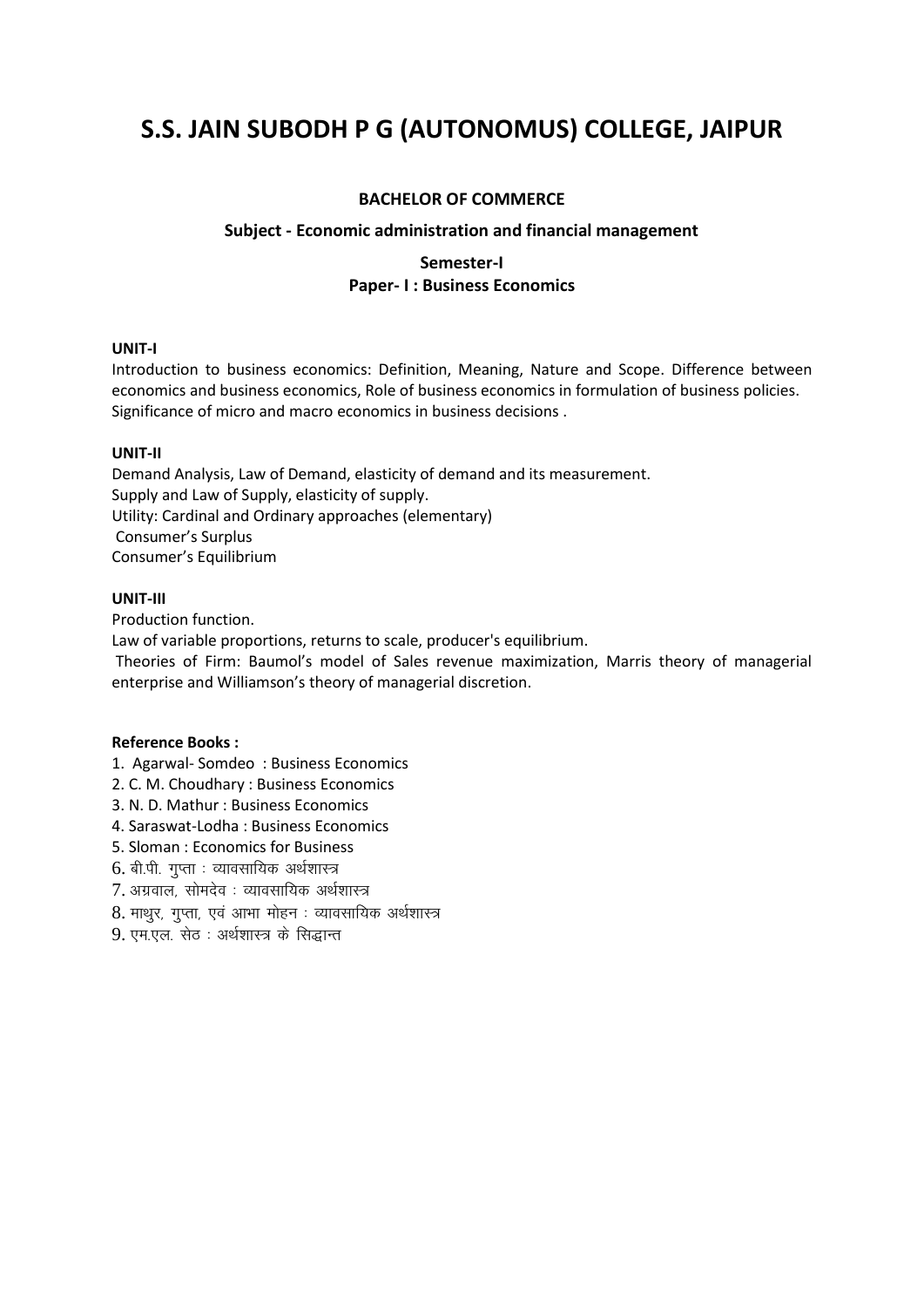## **S.S. JAIN SUBODH P G (AUTONOMUS) COLLEGE, JAIPUR**

#### **BACHELOR OF COMMERCE**

#### **Subject - Economic administration and financial management**

## **Semester-I Paper- I : Business Economics**

#### **UNIT-I**

Introduction to business economics: Definition, Meaning, Nature and Scope. Difference between economics and business economics, Role of business economics in formulation of business policies. Significance of micro and macro economics in business decisions .

#### **UNIT-II**

Demand Analysis, Law of Demand, elasticity of demand and its measurement. Supply and Law of Supply, elasticity of supply. Utility: Cardinal and Ordinary approaches (elementary) Consumer's Surplus Consumer's Equilibrium

#### **UNIT-III**

Production function.

Law of variable proportions, returns to scale, producer's equilibrium.

Theories of Firm: Baumol's model of Sales revenue maximization, Marris theory of managerial enterprise and Williamson's theory of managerial discretion.

- 1. Agarwal- Somdeo : Business Economics
- 2. C. M. Choudhary : Business Economics
- 3. N. D. Mathur : Business Economics
- 4. Saraswat-Lodha : Business Economics
- 5. Sloman : Economics for Business
- $6.$  बी.पी. गुप्ता : व्यावसायिक अर्थशास्त्र
- $7.$  अग्रवाल, सोमदेव: व्यावसायिक अर्थशास्त्र
- 8. माथुर, गुप्ता, एवं आभा मोहन : व्यावसायिक अर्थशास्त्र
- 9. एम.एल. सेठ : अर्थशास्त्र के सिद्धान्त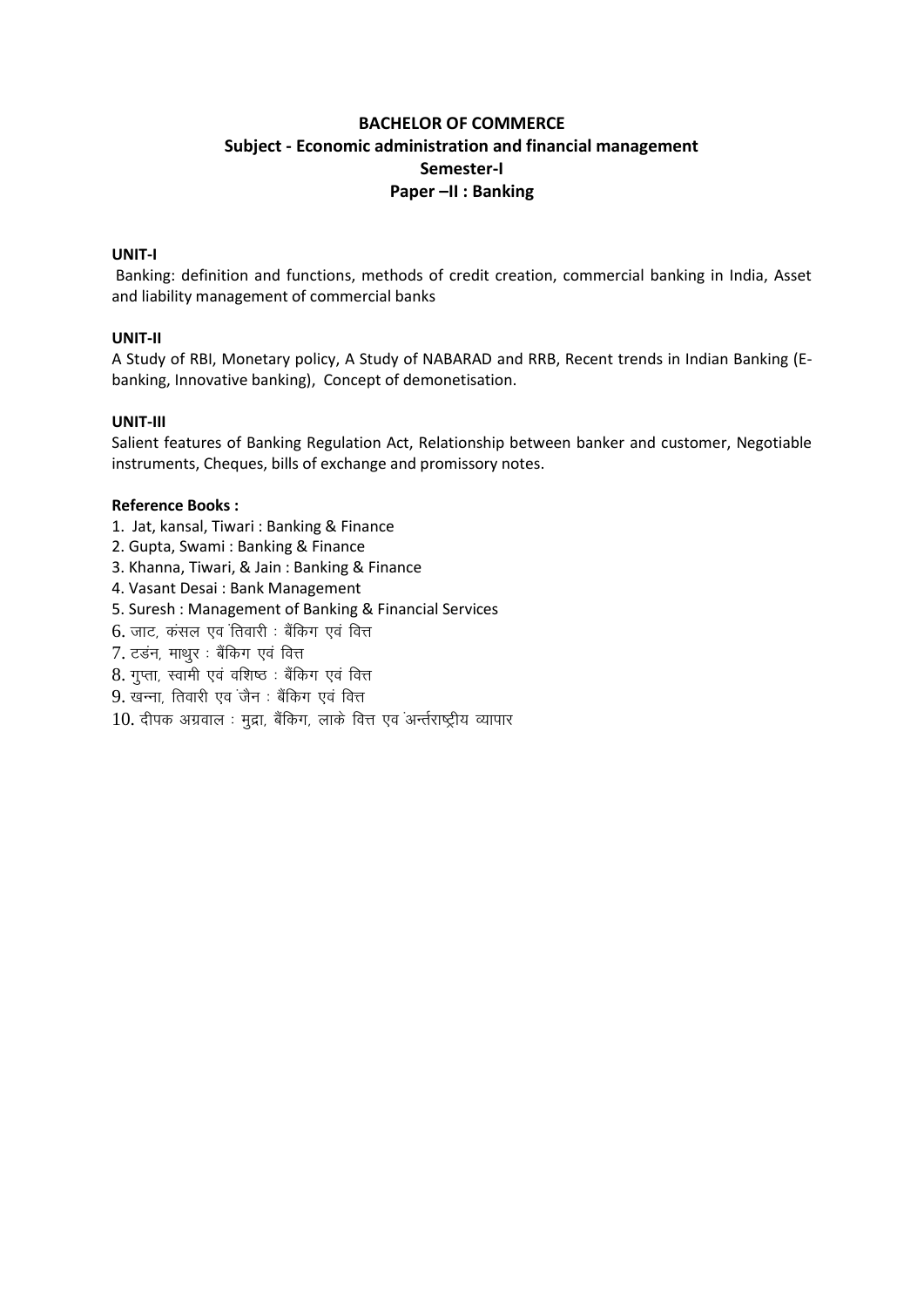## **BACHELOR OF COMMERCE** Subject - Economic administration and financial management Semester-I Paper-II: Banking

#### **UNIT-I**

Banking: definition and functions, methods of credit creation, commercial banking in India, Asset and liability management of commercial banks

#### UNIT-II

A Study of RBI, Monetary policy, A Study of NABARAD and RRB, Recent trends in Indian Banking (Ebanking, Innovative banking), Concept of demonetisation.

#### UNIT-III

Salient features of Banking Regulation Act, Relationship between banker and customer, Negotiable instruments, Cheques, bills of exchange and promissory notes.

- 1. Jat, kansal, Tiwari: Banking & Finance
- 2. Gupta, Swami: Banking & Finance
- 3. Khanna, Tiwari, & Jain: Banking & Finance
- 4. Vasant Desai: Bank Management
- 5. Suresh: Management of Banking & Financial Services
- 6. जाट, कसल एवं तिवारी : बैंकिंग एवं वित्त
- 7. टडन, माथुर : बैंकिग एवं वित्त
- 8. गप्ता, स्वामी एवं वशिष्ठ : बैंकिग एवं वित्त
- 9. खन्ना, तिवारी एव जैन : बैंकिंग एवं वित्त
- $10.$  दीपक अग्रवाल : मुद्रा, बैंकिंग, लाके वित्त एवं अर्न्तराष्ट्रीय व्यापार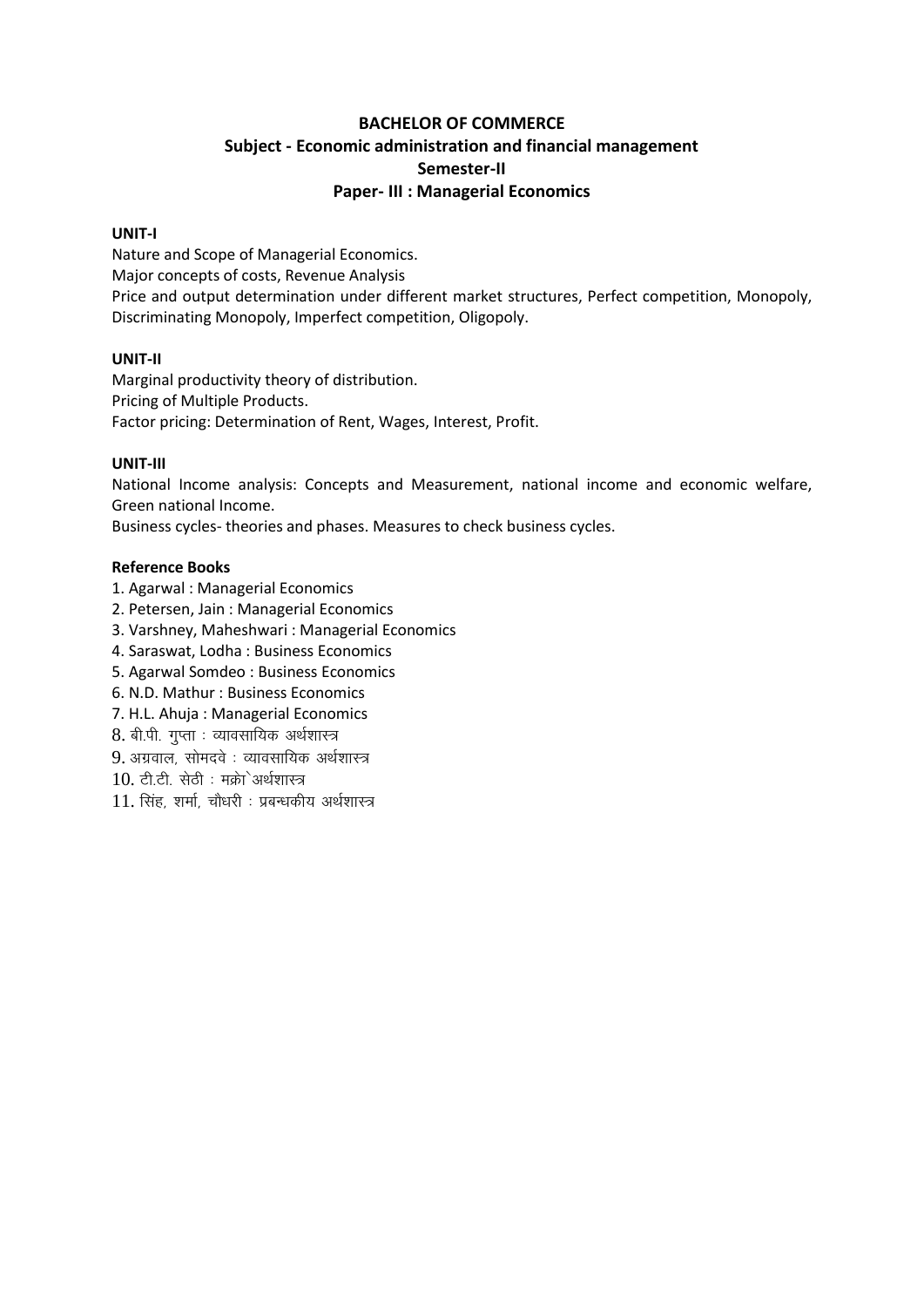## **BACHELOR OF COMMERCE Subject - Economic administration and financial management Semester-II Paper- III : Managerial Economics**

#### **UNIT-I**

Nature and Scope of Managerial Economics. Major concepts of costs, Revenue Analysis Price and output determination under different market structures, Perfect competition, Monopoly, Discriminating Monopoly, Imperfect competition, Oligopoly.

#### **UNIT-II**

Marginal productivity theory of distribution. Pricing of Multiple Products. Factor pricing: Determination of Rent, Wages, Interest, Profit.

#### **UNIT-III**

National Income analysis: Concepts and Measurement, national income and economic welfare, Green national Income.

Business cycles- theories and phases. Measures to check business cycles.

- 1. Agarwal : Managerial Economics
- 2. Petersen, Jain : Managerial Economics
- 3. Varshney, Maheshwari : Managerial Economics
- 4. Saraswat, Lodha : Business Economics
- 5. Agarwal Somdeo : Business Economics
- 6. N.D. Mathur : Business Economics
- 7. H.L. Ahuja : Managerial Economics
- $8.$  बी.पी. गुप्ता : व्यावसायिक अर्थशास्त्र
- $9.$  अग्रवाल, सोमदवे : व्यावसायिक अर्थशास्त्र
- $10.$  टी.टी. सेठी : मक्रो अर्थशास्त्र
- $11.$  सिंह, शर्मा, चौधरी: प्रबन्धकीय अर्थशास्त्र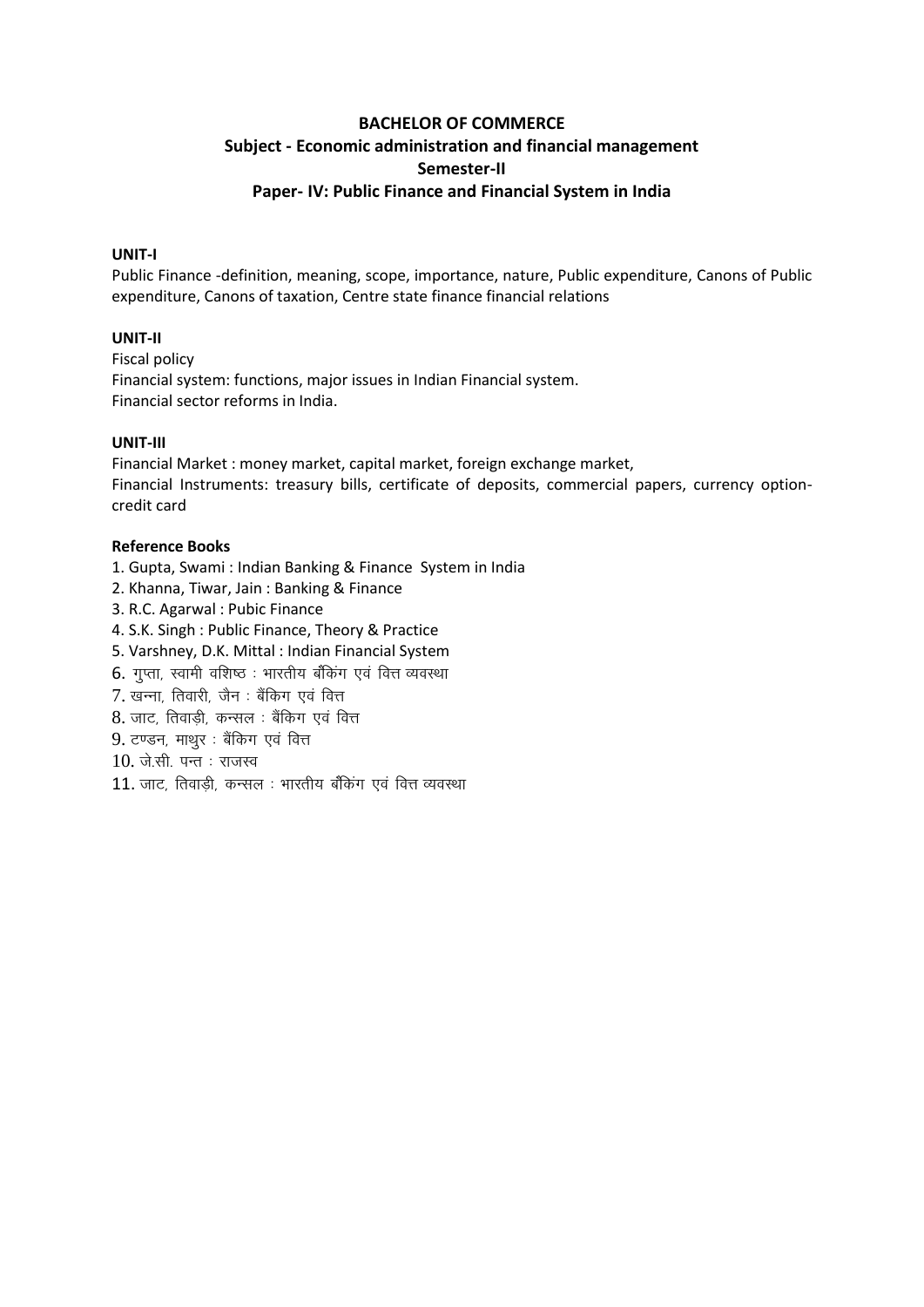## **BACHELOR OF COMMERCE Subject - Economic administration and financial management Semester-II Paper- IV: Public Finance and Financial System in India**

#### **UNIT-I**

Public Finance -definition, meaning, scope, importance, nature, Public expenditure, Canons of Public expenditure, Canons of taxation, Centre state finance financial relations

#### **UNIT-II**

Fiscal policy Financial system: functions, major issues in Indian Financial system. Financial sector reforms in India.

#### **UNIT-III**

Financial Market : money market, capital market, foreign exchange market, Financial Instruments: treasury bills, certificate of deposits, commercial papers, currency optioncredit card

- 1. Gupta, Swami : Indian Banking & Finance System in India
- 2. Khanna, Tiwar, Jain : Banking & Finance
- 3. R.C. Agarwal : Pubic Finance
- 4. S.K. Singh : Public Finance, Theory & Practice
- 5. Varshney, D.K. Mittal : Indian Financial System
- $6.$  गप्ता, स्वामी वशिष्ठ : भारतीय बँकिंग एवं वित्त व्यवस्था
- 7. खन्ना, तिवारी, जैन : बैंकिग एवं वित्त
- $8.$  जाट, तिवाडी, कन्सल : बैंकिंग एवं वित्त
- 9. टण्डन, माथुर : बैंकिग एवं वित्त
- $10.$  जे.सी. पन्त : राजस्व
- $11.$  जाट, तिवाडी, कन्सल : भारतीय बौंकेंग एवं वित्त व्यवस्था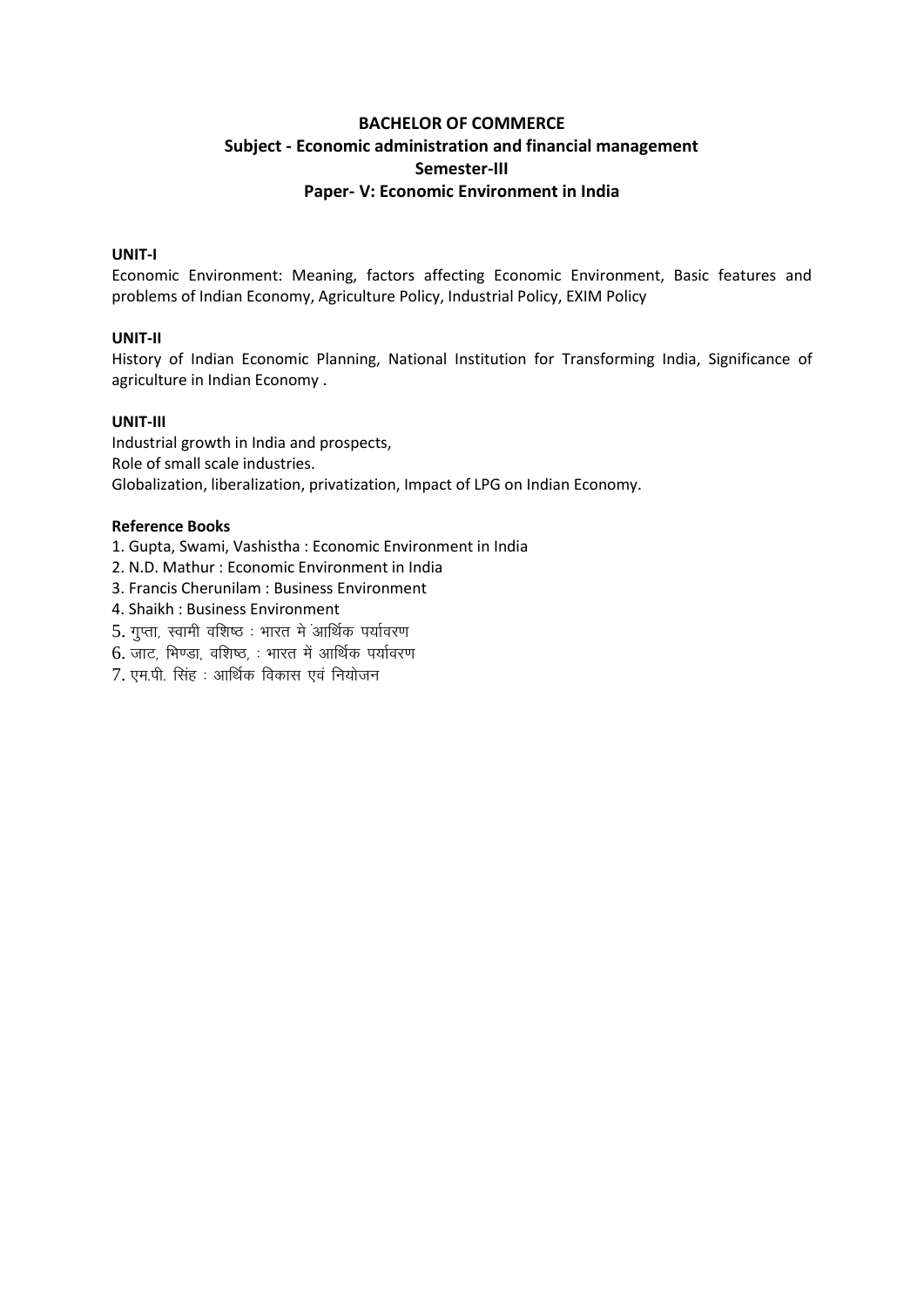## **BACHELOR OF COMMERCE** Subject - Economic administration and financial management Semester-III Paper- V: Economic Environment in India

#### **UNIT-I**

Economic Environment: Meaning, factors affecting Economic Environment, Basic features and problems of Indian Economy, Agriculture Policy, Industrial Policy, EXIM Policy

#### UNIT-II

History of Indian Economic Planning, National Institution for Transforming India, Significance of agriculture in Indian Economy.

#### UNIT-III

Industrial growth in India and prospects, Role of small scale industries. Globalization, liberalization, privatization, Impact of LPG on Indian Economy.

#### **Reference Books**

1. Gupta, Swami, Vashistha: Economic Environment in India

2. N.D. Mathur: Economic Environment in India

3. Francis Cherunilam : Business Environment

4. Shaikh: Business Environment

5. गुप्ता, स्वामी वशिष्ठ: भारत मे आर्थिक पर्यावरण

 $6.$  जाट, भिण्डा, वशिष्ठ, : भारत में आर्थिक पर्यावरण

7. एम.पी. सिंह : आर्थिक विकास एवं नियोजन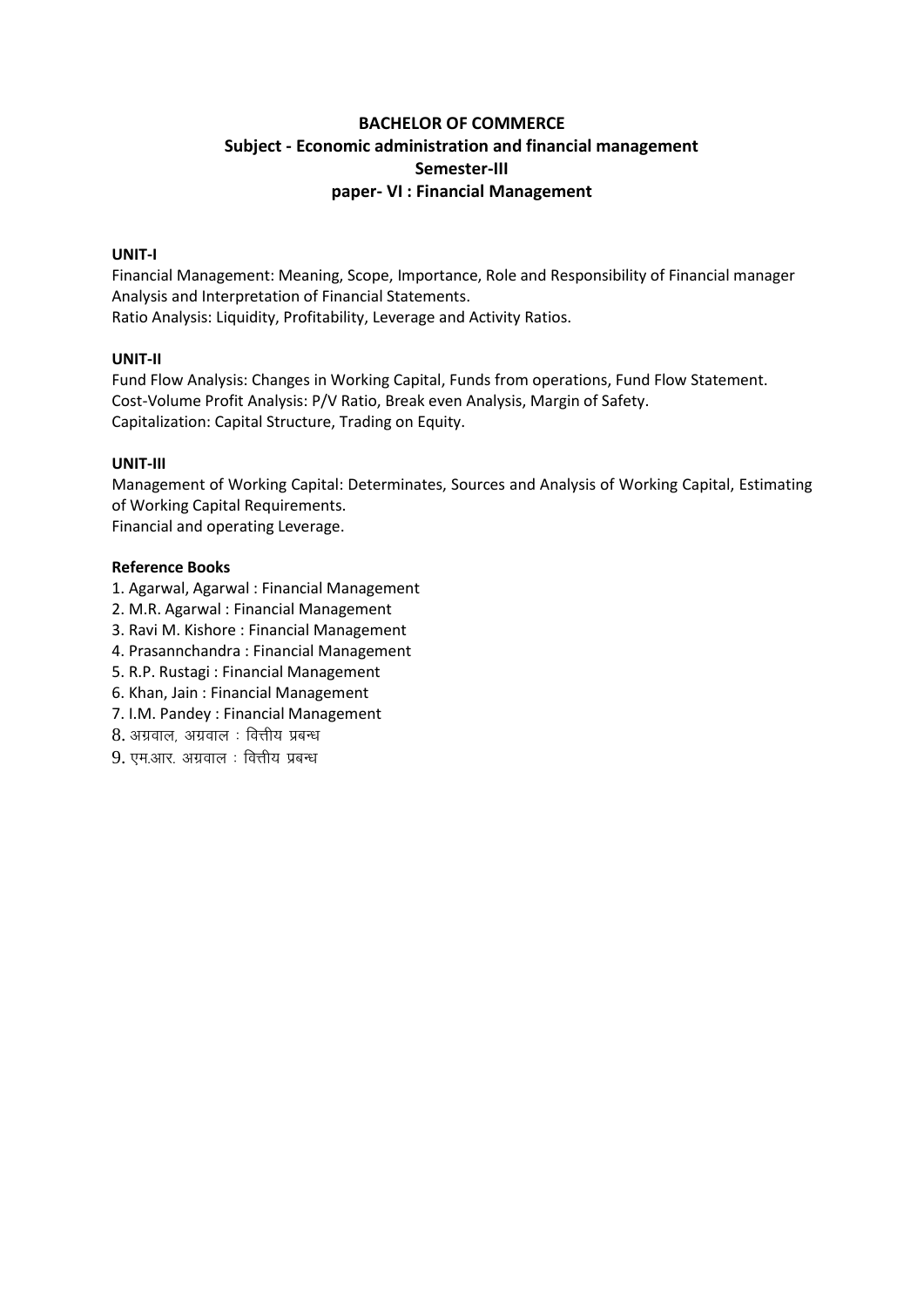## **BACHELOR OF COMMERCE Subject - Economic administration and financial management Semester-III paper- VI : Financial Management**

#### **UNIT-I**

Financial Management: Meaning, Scope, Importance, Role and Responsibility of Financial manager Analysis and Interpretation of Financial Statements. Ratio Analysis: Liquidity, Profitability, Leverage and Activity Ratios.

#### **UNIT-II**

Fund Flow Analysis: Changes in Working Capital, Funds from operations, Fund Flow Statement. Cost-Volume Profit Analysis: P/V Ratio, Break even Analysis, Margin of Safety. Capitalization: Capital Structure, Trading on Equity.

#### **UNIT-III**

Management of Working Capital: Determinates, Sources and Analysis of Working Capital, Estimating of Working Capital Requirements.

Financial and operating Leverage.

- 1. Agarwal, Agarwal : Financial Management
- 2. M.R. Agarwal : Financial Management
- 3. Ravi M. Kishore : Financial Management
- 4. Prasannchandra : Financial Management
- 5. R.P. Rustagi : Financial Management
- 6. Khan, Jain : Financial Management
- 7. I.M. Pandey : Financial Management
- $8.$  अग्रवाल, अग्रवाल : वित्तीय प्रबन्ध
- $9.$  एम.आर. अग्रवाल : वित्तीय प्रबन्ध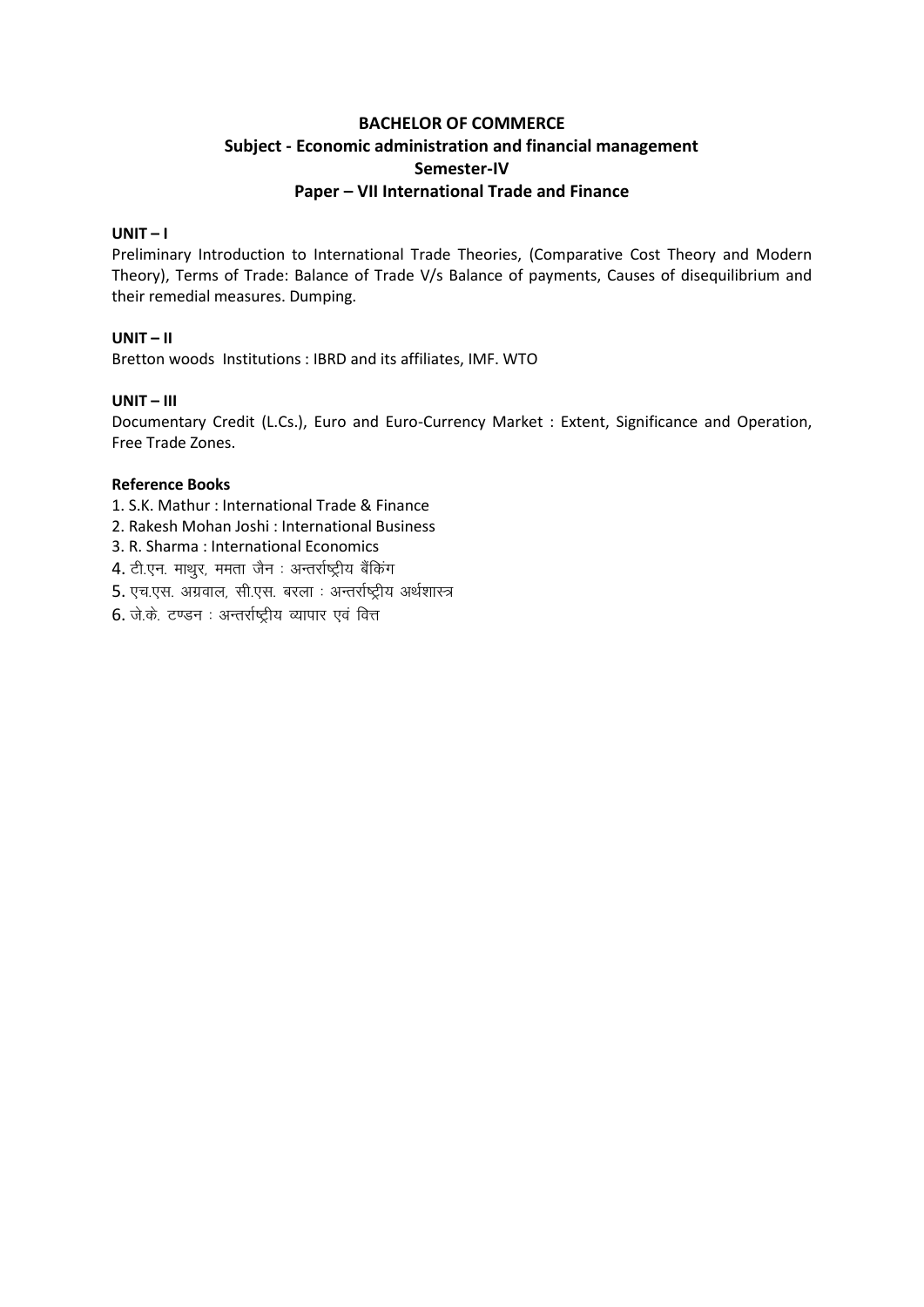## **BACHELOR OF COMMERCE** Subject - Economic administration and financial management Semester-IV Paper - VII International Trade and Finance

### $UNIT-I$

Preliminary Introduction to International Trade Theories, (Comparative Cost Theory and Modern Theory), Terms of Trade: Balance of Trade V/s Balance of payments, Causes of disequilibrium and their remedial measures. Dumping.

#### $UNIT-II$

Bretton woods Institutions : IBRD and its affiliates, IMF. WTO

#### $UNIT - III$

Documentary Credit (L.Cs.), Euro and Euro-Currency Market : Extent, Significance and Operation, Free Trade Zones.

- 1. S.K. Mathur: International Trade & Finance
- 2. Rakesh Mohan Joshi: International Business
- 3. R. Sharma: International Economics
- 4. टी.एन. माथुर, ममता जैन : अन्तर्राष्ट्रीय बैंकिंग
- 5. एच.एस. अग्रवाल, सी.एस. बरला : अन्तर्राष्ट्रीय अर्थशास्त्र
- 6. जे के. टण्डन: अन्तर्राष्ट्रीय व्यापार एवं वित्त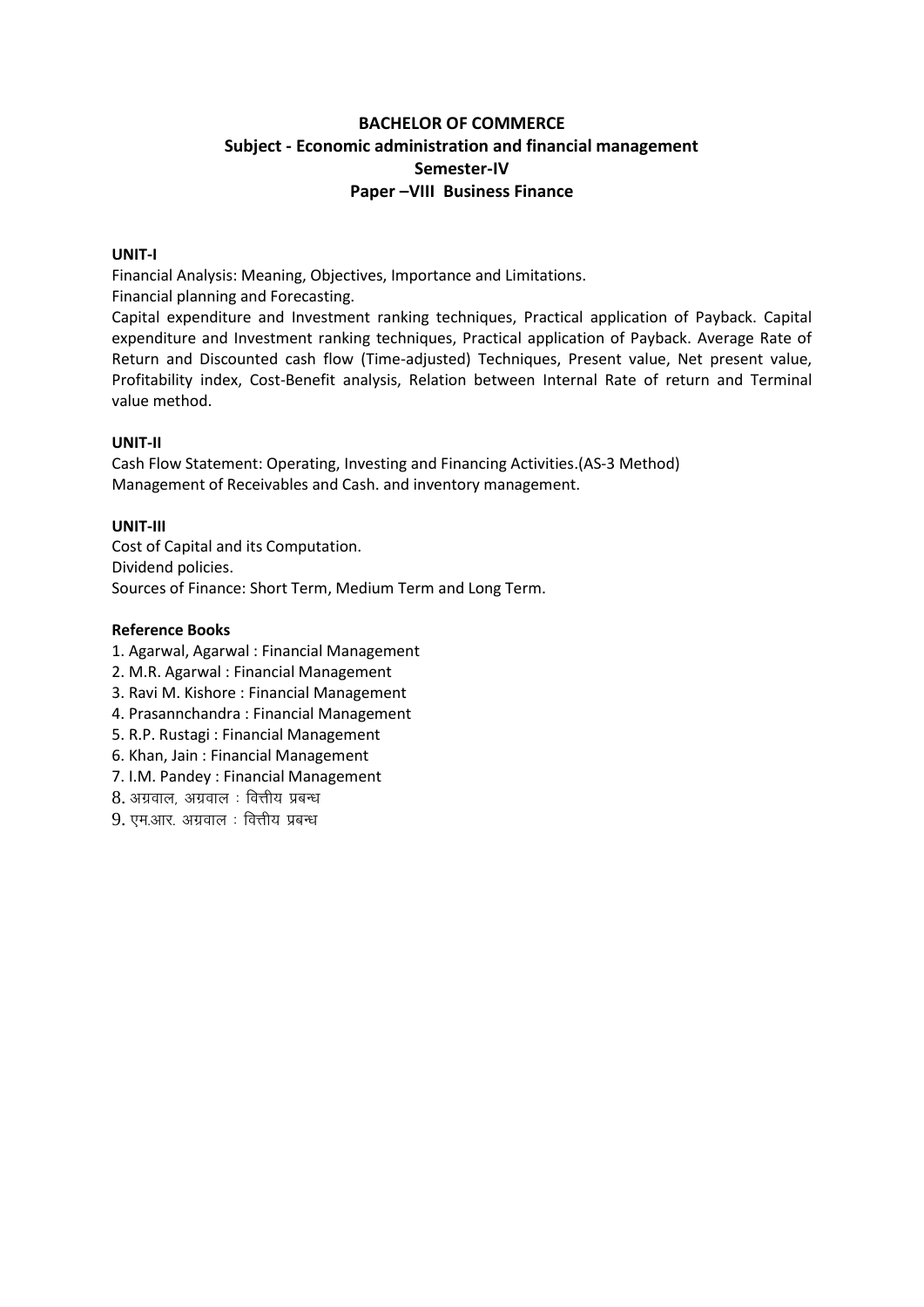## **BACHELOR OF COMMERCE Subject - Economic administration and financial management Semester-IV Paper –VIII Business Finance**

#### **UNIT-I**

Financial Analysis: Meaning, Objectives, Importance and Limitations.

Financial planning and Forecasting.

Capital expenditure and Investment ranking techniques, Practical application of Payback. Capital expenditure and Investment ranking techniques, Practical application of Payback. Average Rate of Return and Discounted cash flow (Time-adjusted) Techniques, Present value, Net present value, Profitability index, Cost-Benefit analysis, Relation between Internal Rate of return and Terminal value method.

#### **UNIT-II**

Cash Flow Statement: Operating, Investing and Financing Activities.(AS-3 Method) Management of Receivables and Cash. and inventory management.

#### **UNIT-III**

Cost of Capital and its Computation. Dividend policies. Sources of Finance: Short Term, Medium Term and Long Term.

- 1. Agarwal, Agarwal : Financial Management
- 2. M.R. Agarwal : Financial Management
- 3. Ravi M. Kishore : Financial Management
- 4. Prasannchandra : Financial Management
- 5. R.P. Rustagi : Financial Management
- 6. Khan, Jain : Financial Management
- 7. I.M. Pandey : Financial Management
- $8.$  अग्रवाल, अग्रवाल : वित्तीय प्रबन्ध
- 9. एम.आर. अग्रवाल : वित्तीय प्रबन्ध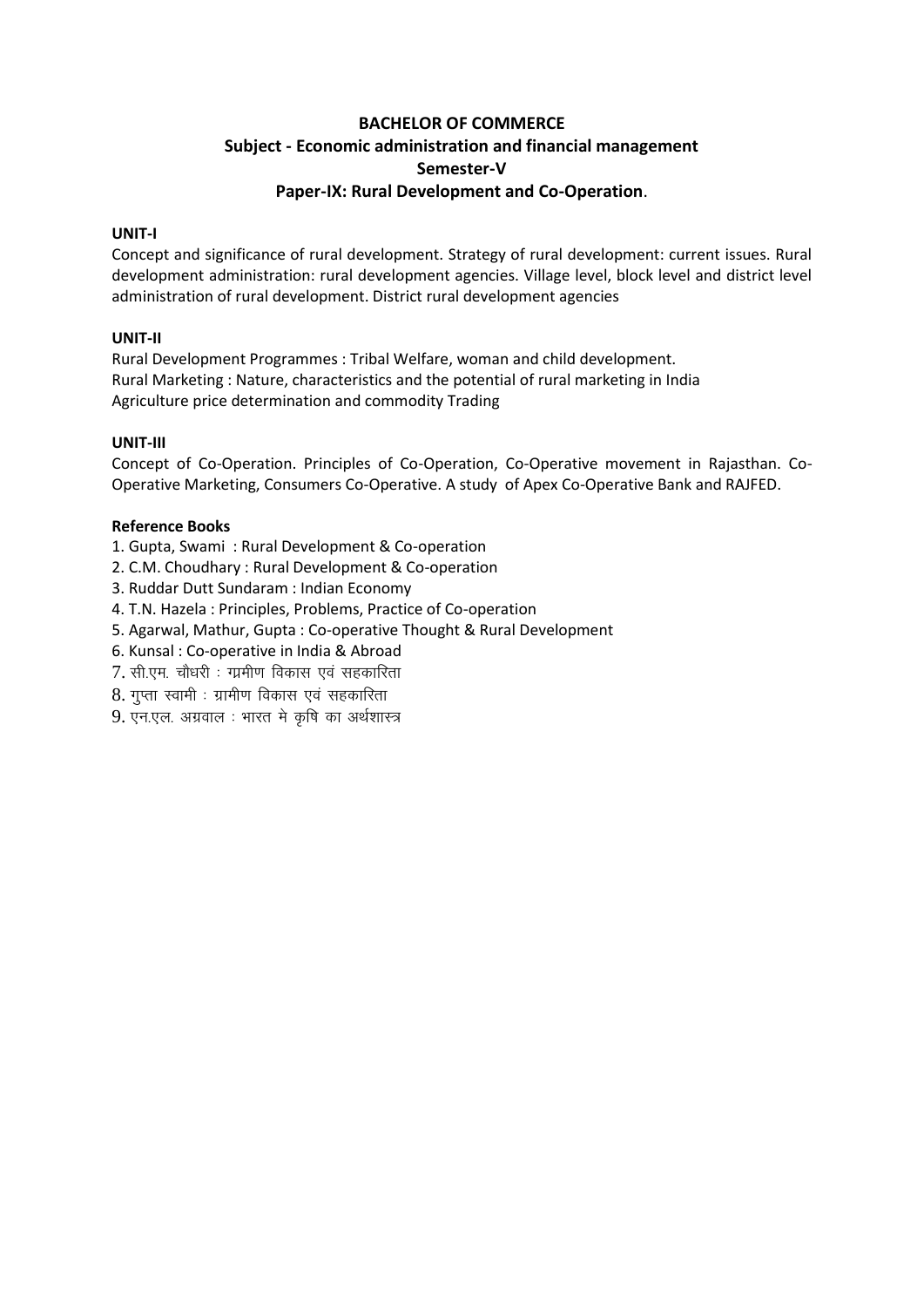## **BACHELOR OF COMMERCE Subject - Economic administration and financial management Semester-V Paper-IX: Rural Development and Co-Operation**.

#### **UNIT-I**

Concept and significance of rural development. Strategy of rural development: current issues. Rural development administration: rural development agencies. Village level, block level and district level administration of rural development. District rural development agencies

#### **UNIT-II**

Rural Development Programmes : Tribal Welfare, woman and child development. Rural Marketing : Nature, characteristics and the potential of rural marketing in India Agriculture price determination and commodity Trading

#### **UNIT-III**

Concept of Co-Operation. Principles of Co-Operation, Co-Operative movement in Rajasthan. Co-Operative Marketing, Consumers Co-Operative. A study of Apex Co-Operative Bank and RAJFED.

- 1. Gupta, Swami : Rural Development & Co-operation
- 2. C.M. Choudhary : Rural Development & Co-operation
- 3. Ruddar Dutt Sundaram : Indian Economy
- 4. T.N. Hazela : Principles, Problems, Practice of Co-operation
- 5. Agarwal, Mathur, Gupta : Co-operative Thought & Rural Development
- 6. Kunsal : Co-operative in India & Abroad
- $7.$  सी.एम. चौधरी : ग्रामीण विकास एवं सहकारिता
- $8.$  गुप्ता स्वामी : ग्रामीण विकास एवं सहकारिता
- 9. एन.एल. अग्रवाल : भारत मे कृषि का अर्थशास्त्र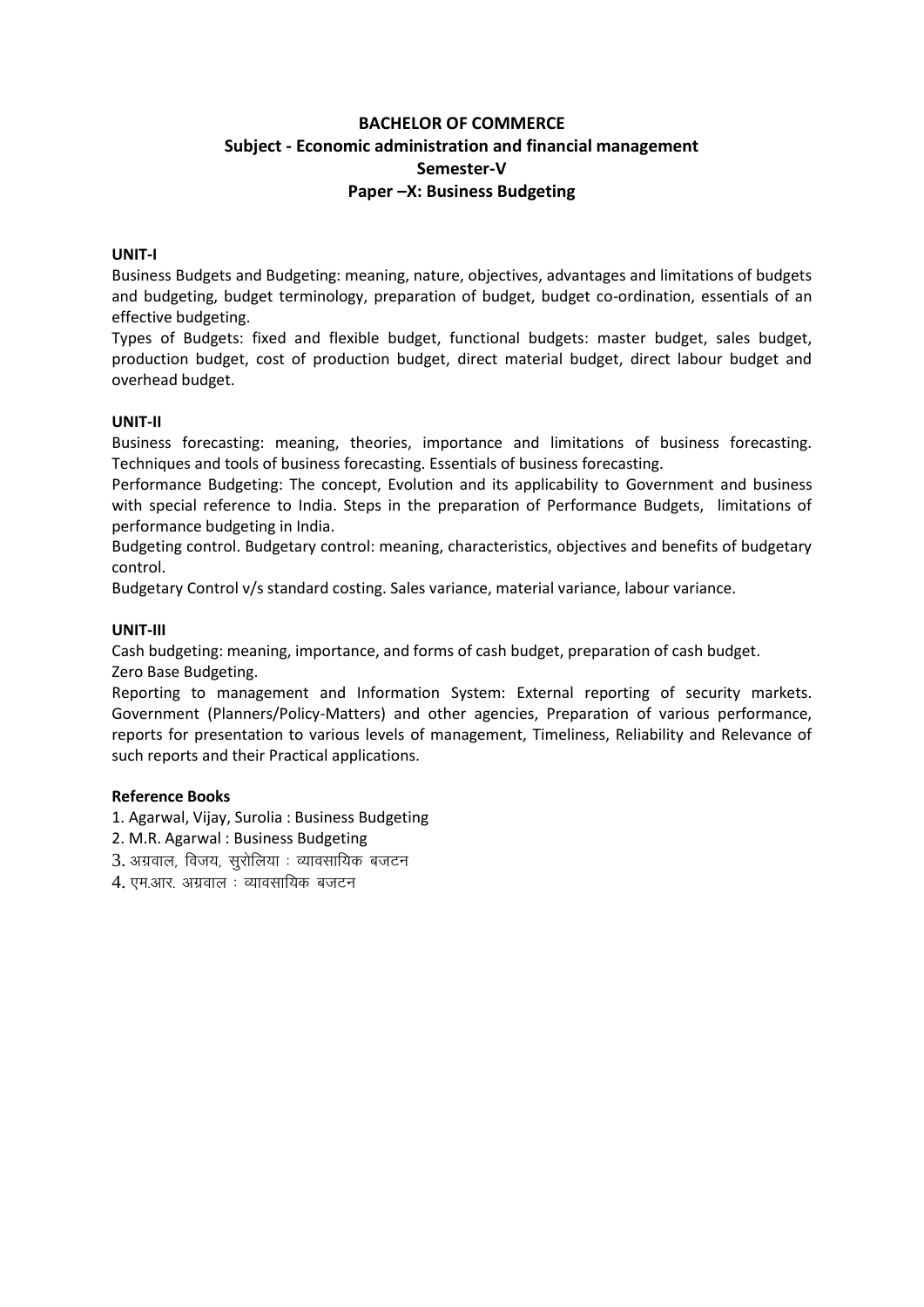## **BACHELOR OF COMMERCE Subject - Economic administration and financial management Semester-V Paper –X: Business Budgeting**

#### **UNIT-I**

Business Budgets and Budgeting: meaning, nature, objectives, advantages and limitations of budgets and budgeting, budget terminology, preparation of budget, budget co-ordination, essentials of an effective budgeting.

Types of Budgets: fixed and flexible budget, functional budgets: master budget, sales budget, production budget, cost of production budget, direct material budget, direct labour budget and overhead budget.

#### **UNIT-II**

Business forecasting: meaning, theories, importance and limitations of business forecasting. Techniques and tools of business forecasting. Essentials of business forecasting.

Performance Budgeting: The concept, Evolution and its applicability to Government and business with special reference to India. Steps in the preparation of Performance Budgets, limitations of performance budgeting in India.

Budgeting control. Budgetary control: meaning, characteristics, objectives and benefits of budgetary control.

Budgetary Control v/s standard costing. Sales variance, material variance, labour variance.

#### **UNIT-III**

Cash budgeting: meaning, importance, and forms of cash budget, preparation of cash budget. Zero Base Budgeting.

Reporting to management and Information System: External reporting of security markets. Government (Planners/Policy-Matters) and other agencies, Preparation of various performance, reports for presentation to various levels of management, Timeliness, Reliability and Relevance of such reports and their Practical applications.

- 1. Agarwal, Vijay, Surolia : Business Budgeting
- 2. M.R. Agarwal : Business Budgeting
- $3.$  अग्रवाल, विजय, सरोलिया: व्यावसायिक बजटन
- $4.$  एम.आर. अग्रवाल : व्यावसायिक बजटन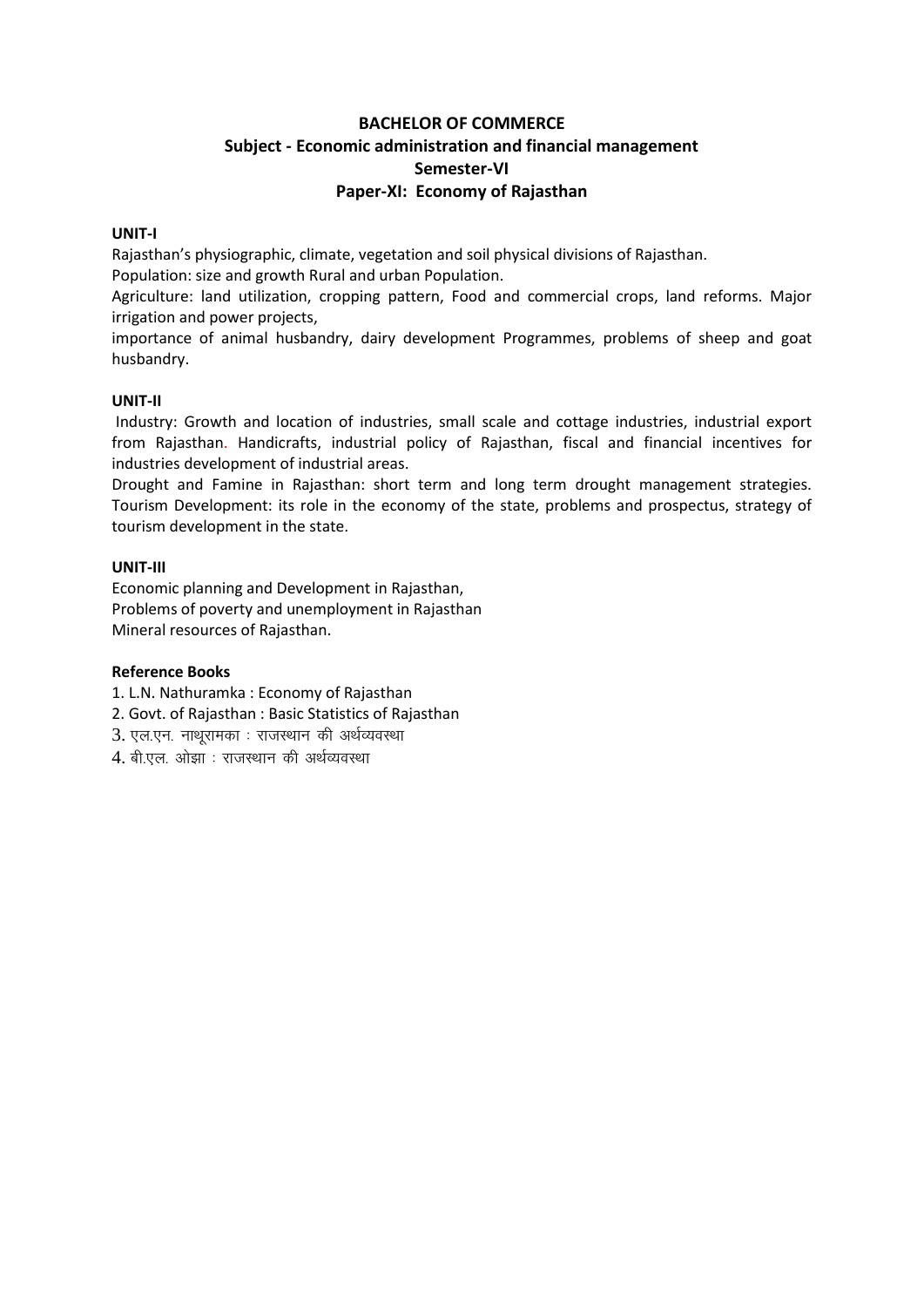## **BACHELOR OF COMMERCE Subject - Economic administration and financial management Semester-VI Paper-XI: Economy of Rajasthan**

#### **UNIT-I**

Rajasthan's physiographic, climate, vegetation and soil physical divisions of Rajasthan. Population: size and growth Rural and urban Population.

Agriculture: land utilization, cropping pattern, Food and commercial crops, land reforms. Major irrigation and power projects,

importance of animal husbandry, dairy development Programmes, problems of sheep and goat husbandry.

#### **UNIT-II**

Industry: Growth and location of industries, small scale and cottage industries, industrial export from Rajasthan. Handicrafts, industrial policy of Rajasthan, fiscal and financial incentives for industries development of industrial areas.

Drought and Famine in Rajasthan: short term and long term drought management strategies. Tourism Development: its role in the economy of the state, problems and prospectus, strategy of tourism development in the state.

#### **UNIT-III**

Economic planning and Development in Rajasthan, Problems of poverty and unemployment in Rajasthan Mineral resources of Rajasthan.

- 1. L.N. Nathuramka : Economy of Rajasthan
- 2. Govt. of Rajasthan : Basic Statistics of Rajasthan
- $3.$  एल.एन. नाथरामका : राजस्थान की अर्थव्यवस्था
- 4. बी.एल. ओझा : राजस्थान की अर्थव्यवस्था